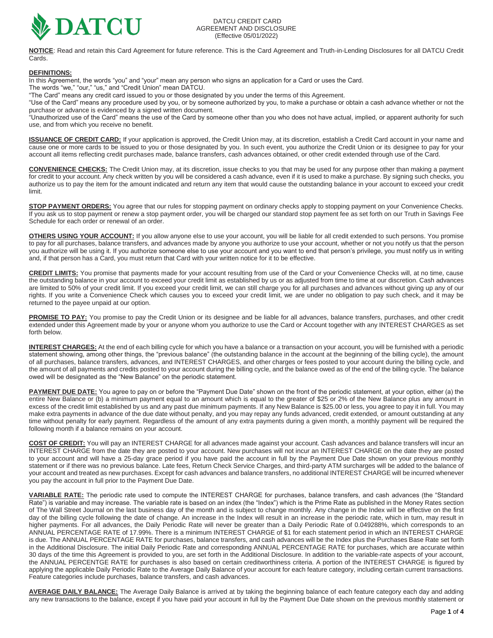

**NOTICE**: Read and retain this Card Agreement for future reference. This is the Card Agreement and Truth-in-Lending Disclosures for all DATCU Credit Cards.

# **DEFINITIONS:**

In this Agreement, the words "you" and "your" mean any person who signs an application for a Card or uses the Card.

The words "we," "our," "us," and "Credit Union" mean DATCU.

"The Card" means any credit card issued to you or those designated by you under the terms of this Agreement.

"Use of the Card" means any procedure used by you, or by someone authorized by you, to make a purchase or obtain a cash advance whether or not the purchase or advance is evidenced by a signed written document.

"Unauthorized use of the Card" means the use of the Card by someone other than you who does not have actual, implied, or apparent authority for such use, and from which you receive no benefit.

**ISSUANCE OF CREDIT CARD:** If your application is approved, the Credit Union may, at its discretion, establish a Credit Card account in your name and cause one or more cards to be issued to you or those designated by you. In such event, you authorize the Credit Union or its designee to pay for your account all items reflecting credit purchases made, balance transfers, cash advances obtained, or other credit extended through use of the Card.

**CONVENIENCE CHECKS:** The Credit Union may, at its discretion, issue checks to you that may be used for any purpose other than making a payment for credit to your account. Any check written by you will be considered a cash advance, even if it is used to make a purchase. By signing such checks, you authorize us to pay the item for the amount indicated and return any item that would cause the outstanding balance in your account to exceed your credit limit.

**STOP PAYMENT ORDERS:** You agree that our rules for stopping payment on ordinary checks apply to stopping payment on your Convenience Checks. If you ask us to stop payment or renew a stop payment order, you will be charged our standard stop payment fee as set forth on our Truth in Savings Fee Schedule for each order or renewal of an order.

**OTHERS USING YOUR ACCOUNT:** If you allow anyone else to use your account, you will be liable for all credit extended to such persons. You promise to pay for all purchases, balance transfers, and advances made by anyone you authorize to use your account, whether or not you notify us that the person you authorize will be using it. If you authorize someone else to use your account and you want to end that person's privilege, you must notify us in writing and, if that person has a Card, you must return that Card with your written notice for it to be effective.

**CREDIT LIMITS:** You promise that payments made for your account resulting from use of the Card or your Convenience Checks will, at no time, cause the outstanding balance in your account to exceed your credit limit as established by us or as adjusted from time to time at our discretion. Cash advances are limited to 50% of your credit limit. If you exceed your credit limit, we can still charge you for all purchases and advances without giving up any of our rights. If you write a Convenience Check which causes you to exceed your credit limit, we are under no obligation to pay such check, and it may be returned to the payee unpaid at our option.

**PROMISE TO PAY:** You promise to pay the Credit Union or its designee and be liable for all advances, balance transfers, purchases, and other credit extended under this Agreement made by your or anyone whom you authorize to use the Card or Account together with any INTEREST CHARGES as set forth below.

**INTEREST CHARGES:** At the end of each billing cycle for which you have a balance or a transaction on your account, you will be furnished with a periodic statement showing, among other things, the "previous balance" (the outstanding balance in the account at the beginning of the billing cycle), the amount of all purchases, balance transfers, advances, and INTEREST CHARGES, and other charges or fees posted to your account during the billing cycle, and the amount of all payments and credits posted to your account during the billing cycle, and the balance owed as of the end of the billing cycle. The balance owed will be designated as the "New Balance" on the periodic statement.

PAYMENT DUE DATE: You agree to pay on or before the "Payment Due Date" shown on the front of the periodic statement, at your option, either (a) the entire New Balance or (b) a minimum payment equal to an amount which is equal to the greater of \$25 or 2% of the New Balance plus any amount in excess of the credit limit established by us and any past due minimum payments. If any New Balance is \$25.00 or less, you agree to pay it in full. You may make extra payments in advance of the due date without penalty, and you may repay any funds advanced, credit extended, or amount outstanding at any time without penalty for early payment. Regardless of the amount of any extra payments during a given month, a monthly payment will be required the following month if a balance remains on your account.

**COST OF CREDIT:** You will pay an INTEREST CHARGE for all advances made against your account. Cash advances and balance transfers will incur an INTEREST CHARGE from the date they are posted to your account. New purchases will not incur an INTEREST CHARGE on the date they are posted to your account and will have a 25-day grace period if you have paid the account in full by the Payment Due Date shown on your previous monthly statement or if there was no previous balance. Late fees, Return Check Service Charges, and third-party ATM surcharges will be added to the balance of your account and treated as new purchases. Except for cash advances and balance transfers, no additional INTEREST CHARGE will be incurred whenever you pay the account in full prior to the Payment Due Date.

**VARIABLE RATE:** The periodic rate used to compute the INTEREST CHARGE for purchases, balance transfers, and cash advances (the "Standard Rate") is variable and may increase. The variable rate is based on an index (the "Index") which is the Prime Rate as published in the Money Rates section of The Wall Street Journal on the last business day of the month and is subject to change monthly. Any change in the Index will be effective on the first day of the billing cycle following the date of change. An increase in the Index will result in an increase in the periodic rate, which in turn, may result in higher payments. For all advances, the Daily Periodic Rate will never be greater than a Daily Periodic Rate of 0.049288%, which corresponds to an ANNUAL PERCENTAGE RATE of 17.99%. There is a minimum INTEREST CHARGE of \$1 for each statement period in which an INTEREST CHARGE is due. The ANNUAL PERCENTAGE RATE for purchases, balance transfers, and cash advances will be the Index plus the Purchases Base Rate set forth in the Additional Disclosure. The initial Daily Periodic Rate and corresponding ANNUAL PERCENTAGE RATE for purchases, which are accurate within 30 days of the time this Agreement is provided to you, are set forth in the Additional Disclosure. In addition to the variable-rate aspects of your account, the ANNUAL PERCENTGE RATE for purchases is also based on certain creditworthiness criteria. A portion of the INTEREST CHARGE is figured by applying the applicable Daily Periodic Rate to the Average Daily Balance of your account for each feature category, including certain current transactions. Feature categories include purchases, balance transfers, and cash advances.

**AVERAGE DAILY BALANCE:** The Average Daily Balance is arrived at by taking the beginning balance of each feature category each day and adding any new transactions to the balance, except if you have paid your account in full by the Payment Due Date shown on the previous monthly statement or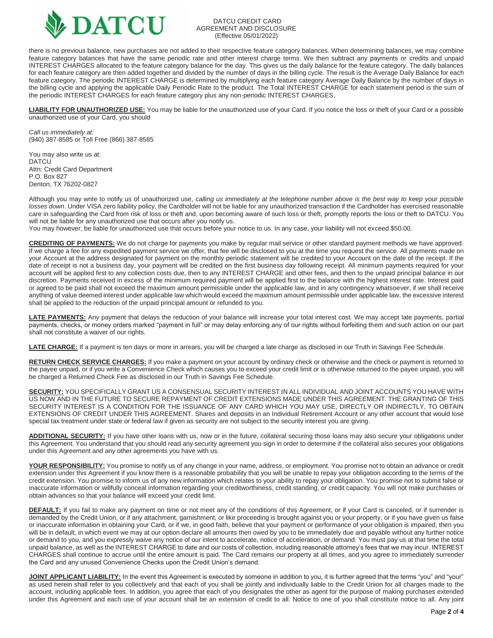

#### DATCU CREDIT CARD AGREEMENT AND DISCLOSURE (Effective 05/01/2022)

there is no previous balance, new purchases are not added to their respective feature category balances. When determining balances, we may combine feature category balances that have the same periodic rate and other interest charge terms. We then subtract any payments or credits and unpaid INTEREST CHARGES allocated to the feature category balance for the day. This gives us the daily balance for the feature category. The daily balances for each feature category are then added together and divided by the number of days in the billing cycle. The result is the Average Daily Balance for each feature category. The periodic INTEREST CHARGE is determined by multiplying each feature category Average Daily Balance by the number of days in the billing cycle and applying the applicable Daily Periodic Rate to the product. The Total INTEREST CHARGE for each statement period is the sum of the periodic INTEREST CHARGES for each feature category plus any non-periodic INTEREST CHARGES.

**LIABILITY FOR UNAUTHORIZED USE:** You may be liable for the unauthorized use of your Card. If you notice the loss or theft of your Card or a possible unauthorized use of your Card, you should

*Call us immediately at:* (940) 387-8585 or Toll Free (866) 387-8585

You may also write us at: **DATCU** Attn: Credit Card Department P.O. Box 827 Denton, TX 76202-0827

Although you may write to notify us of unauthorized use, *calling us immediately at the telephone number above is the best way to keep your possible losses down*. Under VISA zero liability policy, the Cardholder will not be liable for any unauthorized transaction if the Cardholder has exercised reasonable care in safeguarding the Card from risk of loss or theft and, upon becoming aware of such loss or theft, promptly reports the loss or theft to DATCU. You will not be liable for any unauthorized use that occurs after you notify us.

You may however, be liable for unauthorized use that occurs before your notice to us. In any case, your liability will not exceed \$50.00.

**CREDITING OF PAYMENTS:** We do not charge for payments you make by regular mail service or other standard payment methods we have approved. If we charge a fee for any expedited payment service we offer, that fee will be disclosed to you at the time you request the service. All payments made on your Account at the address designated for payment on the monthly periodic statement will be credited to your Account on the date of the receipt. If the date of receipt is not a business day, your payment will be credited on the first business day following receipt. All minimum payments required for your account will be applied first to any collection costs due, then to any INTEREST CHARGE and other fees, and then to the unpaid principal balance in our discretion. Payments received in excess of the minimum required payment will be applied first to the balance with the highest interest rate. Interest paid or agreed to be paid shall not exceed the maximum amount permissible under the applicable law, and in any contingency whatsoever, if we shall receive anything of value deemed interest under applicable law which would exceed the maximum amount permissible under applicable law, the excessive interest shall be applied to the reduction of the unpaid principal amount or refunded to you.

LATE PAYMENTS: Any payment that delays the reduction of your balance will increase your total interest cost. We may accept late payments, partial payments, checks, or money orders marked "payment in full" or may delay enforcing any of our rights without forfeiting them and such action on our part shall not constitute a waiver of our rights.

LATE CHARGE: If a payment is ten days or more in arrears, you will be charged a late charge as disclosed in our Truth in Savings Fee Schedule.

**RETURN CHECK SERVICE CHARGES:** If you make a payment on your account by ordinary check or otherwise and the check or payment is returned to the payee unpaid, or if you write a Convenience Check which causes you to exceed your credit limit or is otherwise returned to the payee unpaid, you will be charged a Returned Check Fee as disclosed in our Truth in Savings Fee Schedule.

**SECURITY:** YOU SPECIFICALLY GRANT US A CONSENSUAL SECURITY INTEREST IN ALL INDIVIDUAL AND JOINT ACCOUNTS YOU HAVE WITH US NOW AND IN THE FUTURE TO SECURE REPAYMENT OF CREDIT EXTENSIONS MADE UNDER THIS AGREEMENT. THE GRANTING OF THIS SECURITY INTEREST IS A CONDITION FOR THE ISSUANCE OF ANY CARD WHICH YOU MAY USE, DIRECTLY OR INDIRECTLY, TO OBTAIN EXTENSIONS OF CREDIT UNDER THIS AGREEMENT. Shares and deposits in an Individual Retirement Account or any other account that would lose special tax treatment under state or federal law if given as security are not subject to the security interest you are giving.

**ADDITIONAL SECURITY:** If you have other loans with us, now or in the future, collateral securing those loans may also secure your obligations under this Agreement. You understand that you should read any security agreement you sign in order to determine if the collateral also secures your obligations under this Agreement and any other agreements you have with us.

**YOUR RESPONSIBILITY:** You promise to notify us of any change in your name, address, or employment. You promise not to obtain an advance or credit extension under this Agreement if you know there is a reasonable probability that you will be unable to repay your obligation according to the terms of the credit extension. You promise to inform us of any new information which relates to your ability to repay your obligation. You promise not to submit false or inaccurate information or willfully conceal information regarding your creditworthiness, credit standing, or credit capacity. You will not make purchases or obtain advances so that your balance will exceed your credit limit.

**DEFAULT:** If you fail to make any payment on time or not meet any of the conditions of this Agreement, or if your Card is canceled, or if surrender is demanded by the Credit Union, or if any attachment, garnishment, or like proceeding is brought against you or your property, or if you have given us false or inaccurate information in obtaining your Card, or if we, in good faith, believe that your payment or performance of your obligation is impaired, then you will be in default, in which event we may at our option declare all amounts then owed by you to be immediately due and payable without any further notice or demand to you, and you expressly waive any notice of our intent to accelerate, notice of acceleration, or demand. You must pay us at that time the total unpaid balance, as well as the INTEREST CHARGE to date and our costs of collection, including reasonable attorney's fees that we may incur. INTEREST CHARGES shall continue to accrue until the entire amount is paid. The Card remains our property at all times, and you agree to immediately surrender the Card and any unused Convenience Checks upon the Credit Union's demand.

**JOINT APPLICANT LIABILITY:** In the event this Agreement is executed by someone in addition to you, it is further agreed that the terms "you" and "your" as used herein shall refer to you collectively and that each of you shall be jointly and individually liable to the Credit Union for all charges made to the account, including applicable fees. In addition, you agree that each of you designates the other as agent for the purpose of making purchases extended under this Agreement and each use of your account shall be an extension of credit to all. Notice to one of you shall constitute notice to all. Any joint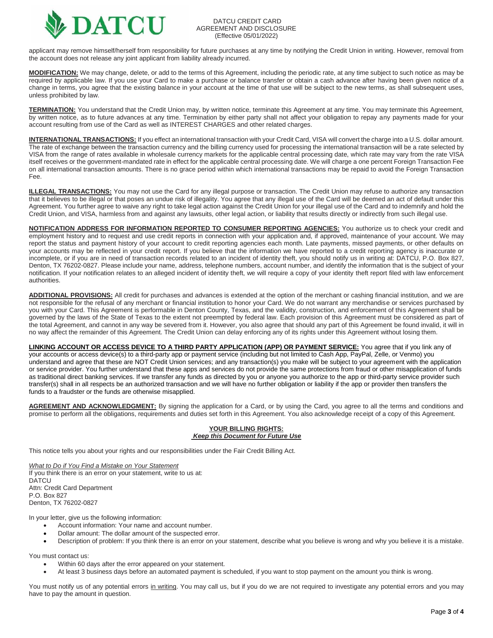

#### DATCU CREDIT CARD AGREEMENT AND DISCLOSURE (Effective 05/01/2022)

applicant may remove himself/herself from responsibility for future purchases at any time by notifying the Credit Union in writing. However, removal from the account does not release any joint applicant from liability already incurred.

**MODIFICATION:** We may change, delete, or add to the terms of this Agreement, including the periodic rate, at any time subject to such notice as may be required by applicable law. If you use your Card to make a purchase or balance transfer or obtain a cash advance after having been given notice of a change in terms, you agree that the existing balance in your account at the time of that use will be subject to the new terms, as shall subsequent uses, unless prohibited by law.

**TERMINATION:** You understand that the Credit Union may, by written notice, terminate this Agreement at any time. You may terminate this Agreement, by written notice, as to future advances at any time. Termination by either party shall not affect your obligation to repay any payments made for your account resulting from use of the Card as well as INTEREST CHARGES and other related charges.

**INTERNATIONAL TRANSACTIONS:** If you effect an international transaction with your Credit Card, VISA will convert the charge into a U.S. dollar amount. The rate of exchange between the transaction currency and the billing currency used for processing the international transaction will be a rate selected by VISA from the range of rates available in wholesale currency markets for the applicable central processing date, which rate may vary from the rate VISA itself receives or the government-mandated rate in effect for the applicable central processing date. We will charge a one percent Foreign Transaction Fee on all international transaction amounts. There is no grace period within which international transactions may be repaid to avoid the Foreign Transaction Fee.

**ILLEGAL TRANSACTIONS:** You may not use the Card for any illegal purpose or transaction. The Credit Union may refuse to authorize any transaction that it believes to be illegal or that poses an undue risk of illegality. You agree that any illegal use of the Card will be deemed an act of default under this Agreement. You further agree to waive any right to take legal action against the Credit Union for your illegal use of the Card and to indemnify and hold the Credit Union, and VISA, harmless from and against any lawsuits, other legal action, or liability that results directly or indirectly from such illegal use.

**NOTIFICATION ADDRESS FOR INFORMATION REPORTED TO CONSUMER REPORTING AGENCIES:** You authorize us to check your credit and employment history and to request and use credit reports in connection with your application and, if approved, maintenance of your account. We may report the status and payment history of your account to credit reporting agencies each month. Late payments, missed payments, or other defaults on your accounts may be reflected in your credit report. If you believe that the information we have reported to a credit reporting agency is inaccurate or incomplete, or if you are in need of transaction records related to an incident of identity theft, you should notify us in writing at: DATCU, P.O. Box 827, Denton, TX 76202-0827. Please include your name, address, telephone numbers, account number, and identify the information that is the subject of your notification. If your notification relates to an alleged incident of identity theft, we will require a copy of your identity theft report filed with law enforcement authorities.

**ADDITIONAL PROVISIONS:** All credit for purchases and advances is extended at the option of the merchant or cashing financial institution, and we are not responsible for the refusal of any merchant or financial institution to honor your Card. We do not warrant any merchandise or services purchased by you with your Card. This Agreement is performable in Denton County, Texas, and the validity, construction, and enforcement of this Agreement shall be governed by the laws of the State of Texas to the extent not preempted by federal law. Each provision of this Agreement must be considered as part of the total Agreement, and cannot in any way be severed from it. However, you also agree that should any part of this Agreement be found invalid, it will in no way affect the remainder of this Agreement. The Credit Union can delay enforcing any of its rights under this Agreement without losing them.

**LINKING ACCOUNT OR ACCESS DEVICE TO A THIRD PARTY APPLICATION (APP) OR PAYMENT SERVICE:** You agree that if you link any of your accounts or access device(s) to a third-party app or payment service (including but not limited to Cash App, PayPal, Zelle, or Venmo) you understand and agree that these are NOT Credit Union services; and any transaction(s) you make will be subject to your agreement with the application or service provider. You further understand that these apps and services do not provide the same protections from fraud or other misapplication of funds as traditional direct banking services. If we transfer any funds as directed by you or anyone you authorize to the app or third-party service provider such transfer(s) shall in all respects be an authorized transaction and we will have no further obligation or liability if the app or provider then transfers the funds to a fraudster or the funds are otherwise misapplied.

AGREEMENT AND ACKNOWLEDGMENT: By signing the application for a Card, or by using the Card, you agree to all the terms and conditions and promise to perform all the obligations, requirements and duties set forth in this Agreement. You also acknowledge receipt of a copy of this Agreement.

# **YOUR BILLING RIGHTS:** *Keep this Document for Future Use*

This notice tells you about your rights and our responsibilities under the Fair Credit Billing Act.

*What to Do if You Find a Mistake on Your Statement* If you think there is an error on your statement, write to us at: DATCU Attn: Credit Card Department P.O. Box 827 Denton, TX 76202-0827

In your letter, give us the following information:

- Account information: Your name and account number.
- Dollar amount: The dollar amount of the suspected error.
- Description of problem: If you think there is an error on your statement, describe what you believe is wrong and why you believe it is a mistake.

You must contact us:

- Within 60 days after the error appeared on your statement.
- At least 3 business days before an automated payment is scheduled, if you want to stop payment on the amount you think is wrong.

You must notify us of any potential errors in writing. You may call us, but if you do we are not required to investigate any potential errors and you may have to pay the amount in question.